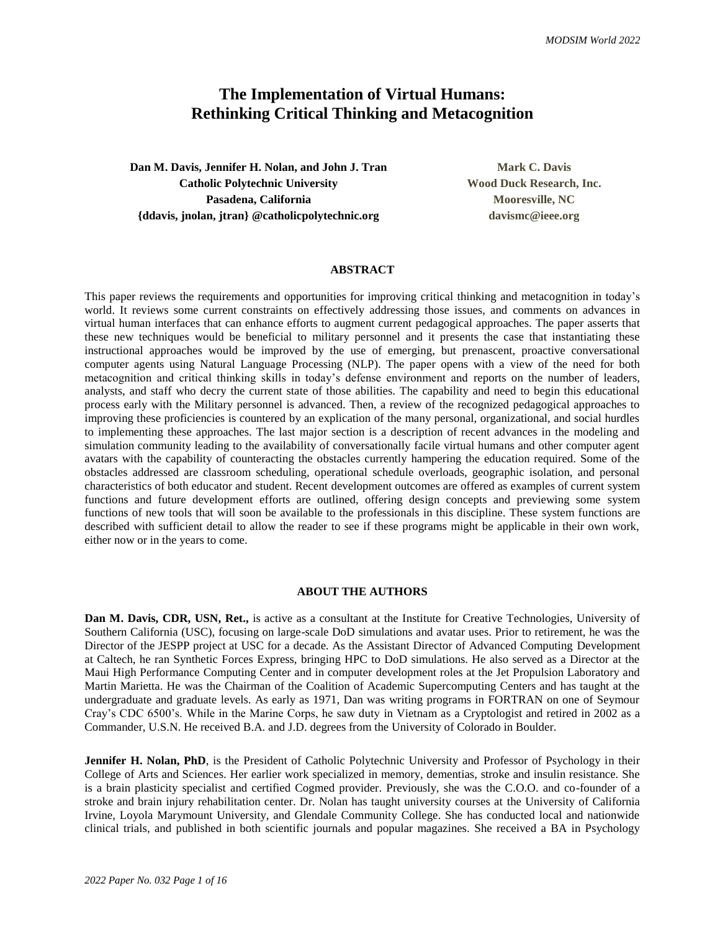# **The Implementation of Virtual Humans: Rethinking Critical Thinking and Metacognition**

**Dan M. Davis, Jennifer H. Nolan, and John J. Tran Mark Mark C. Davis Catholic Polytechnic University Wood Duck Research, Inc.** Pasadena, California **Mooresville, NC {ddavis, jnolan, jtran} @catholicpolytechnic.org davismc@ieee.org**

#### **ABSTRACT**

This paper reviews the requirements and opportunities for improving critical thinking and metacognition in today's world. It reviews some current constraints on effectively addressing those issues, and comments on advances in virtual human interfaces that can enhance efforts to augment current pedagogical approaches. The paper asserts that these new techniques would be beneficial to military personnel and it presents the case that instantiating these instructional approaches would be improved by the use of emerging, but prenascent, proactive conversational computer agents using Natural Language Processing (NLP). The paper opens with a view of the need for both metacognition and critical thinking skills in today's defense environment and reports on the number of leaders, analysts, and staff who decry the current state of those abilities. The capability and need to begin this educational process early with the Military personnel is advanced. Then, a review of the recognized pedagogical approaches to improving these proficiencies is countered by an explication of the many personal, organizational, and social hurdles to implementing these approaches. The last major section is a description of recent advances in the modeling and simulation community leading to the availability of conversationally facile virtual humans and other computer agent avatars with the capability of counteracting the obstacles currently hampering the education required. Some of the obstacles addressed are classroom scheduling, operational schedule overloads, geographic isolation, and personal characteristics of both educator and student. Recent development outcomes are offered as examples of current system functions and future development efforts are outlined, offering design concepts and previewing some system functions of new tools that will soon be available to the professionals in this discipline. These system functions are described with sufficient detail to allow the reader to see if these programs might be applicable in their own work, either now or in the years to come.

#### **ABOUT THE AUTHORS**

**Dan M. Davis, CDR, USN, Ret.,** is active as a consultant at the Institute for Creative Technologies, University of Southern California (USC), focusing on large-scale DoD simulations and avatar uses. Prior to retirement, he was the Director of the JESPP project at USC for a decade. As the Assistant Director of Advanced Computing Development at Caltech, he ran Synthetic Forces Express, bringing HPC to DoD simulations. He also served as a Director at the Maui High Performance Computing Center and in computer development roles at the Jet Propulsion Laboratory and Martin Marietta. He was the Chairman of the Coalition of Academic Supercomputing Centers and has taught at the undergraduate and graduate levels. As early as 1971, Dan was writing programs in FORTRAN on one of Seymour Cray's CDC 6500's. While in the Marine Corps, he saw duty in Vietnam as a Cryptologist and retired in 2002 as a Commander, U.S.N. He received B.A. and J.D. degrees from the University of Colorado in Boulder.

**Jennifer H. Nolan, PhD**, is the President of Catholic Polytechnic University and Professor of Psychology in their College of Arts and Sciences. Her earlier work specialized in memory, dementias, stroke and insulin resistance. She is a brain plasticity specialist and certified Cogmed provider. Previously, she was the C.O.O. and co-founder of a stroke and brain injury rehabilitation center. Dr. Nolan has taught university courses at the University of California Irvine, Loyola Marymount University, and Glendale Community College. She has conducted local and nationwide clinical trials, and published in both scientific journals and popular magazines. She received a BA in Psychology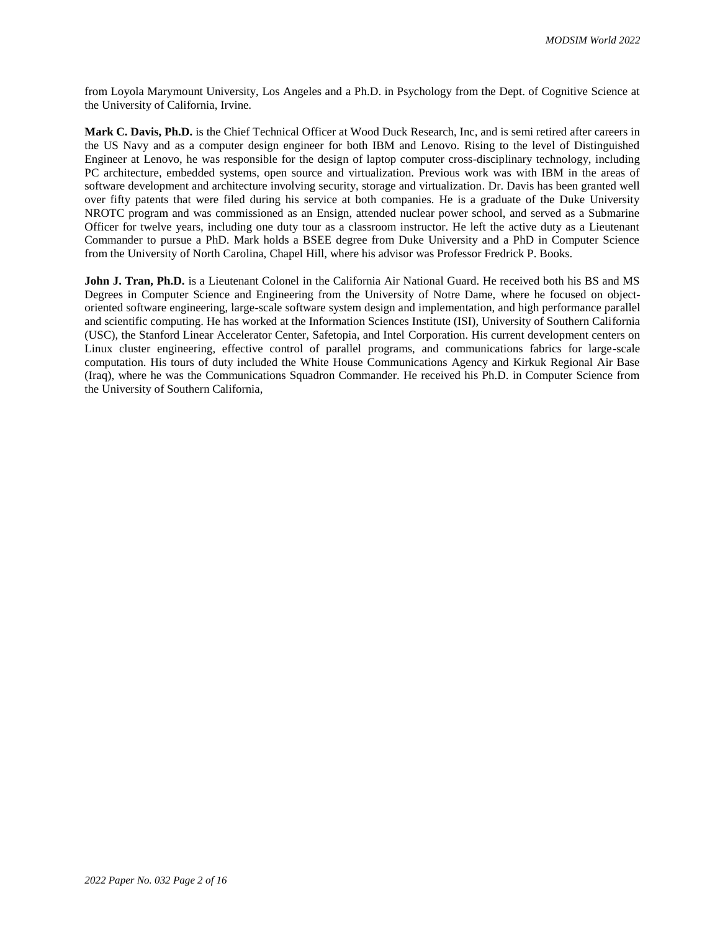from Loyola Marymount University, Los Angeles and a Ph.D. in Psychology from the Dept. of Cognitive Science at the University of California, Irvine.

**Mark C. Davis, Ph.D.** is the Chief Technical Officer at Wood Duck Research, Inc, and is semi retired after careers in the US Navy and as a computer design engineer for both IBM and Lenovo. Rising to the level of Distinguished Engineer at Lenovo, he was responsible for the design of laptop computer cross-disciplinary technology, including PC architecture, embedded systems, open source and virtualization. Previous work was with IBM in the areas of software development and architecture involving security, storage and virtualization. Dr. Davis has been granted well over fifty patents that were filed during his service at both companies. He is a graduate of the Duke University NROTC program and was commissioned as an Ensign, attended nuclear power school, and served as a Submarine Officer for twelve years, including one duty tour as a classroom instructor. He left the active duty as a Lieutenant Commander to pursue a PhD. Mark holds a BSEE degree from Duke University and a PhD in Computer Science from the University of North Carolina, Chapel Hill, where his advisor was Professor Fredrick P. Books.

**John J. Tran, Ph.D.** is a Lieutenant Colonel in the California Air National Guard. He received both his BS and MS Degrees in Computer Science and Engineering from the University of Notre Dame, where he focused on objectoriented software engineering, large-scale software system design and implementation, and high performance parallel and scientific computing. He has worked at the Information Sciences Institute (ISI), University of Southern California (USC), the Stanford Linear Accelerator Center, Safetopia, and Intel Corporation. His current development centers on Linux cluster engineering, effective control of parallel programs, and communications fabrics for large-scale computation. His tours of duty included the White House Communications Agency and Kirkuk Regional Air Base (Iraq), where he was the Communications Squadron Commander. He received his Ph.D. in Computer Science from the University of Southern California,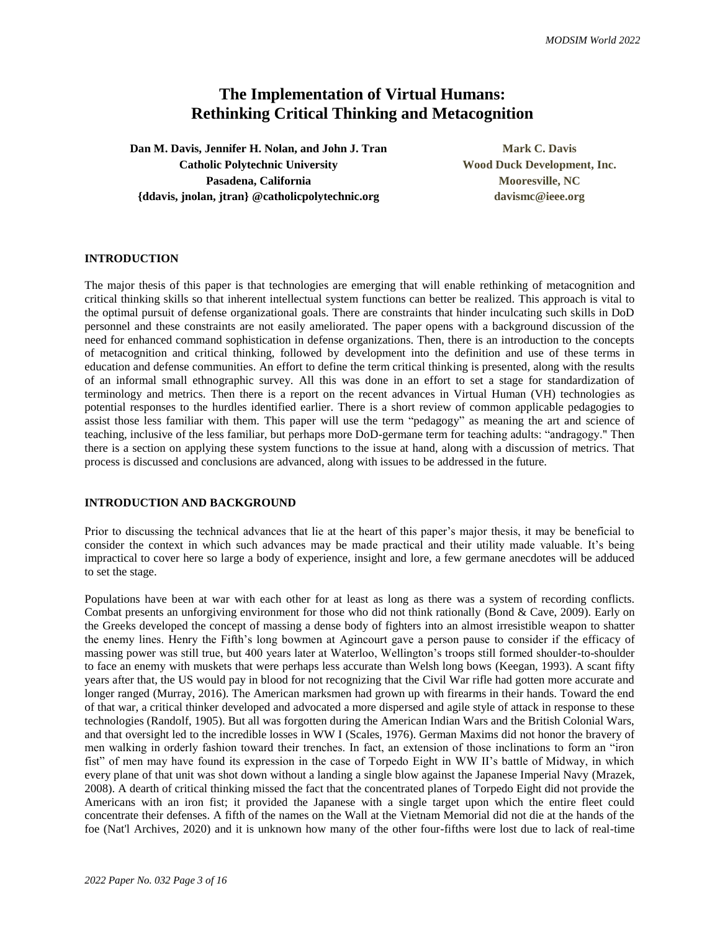# **The Implementation of Virtual Humans: Rethinking Critical Thinking and Metacognition**

**Dan M. Davis, Jennifer H. Nolan, and John J. Tran Mark Mark C. Davis Catholic Polytechnic University Wood Duck Development, Inc.** Pasadena, California **Mooresville, NC {ddavis, jnolan, jtran} @catholicpolytechnic.org davismc@ieee.org**

# **INTRODUCTION**

The major thesis of this paper is that technologies are emerging that will enable rethinking of metacognition and critical thinking skills so that inherent intellectual system functions can better be realized. This approach is vital to the optimal pursuit of defense organizational goals. There are constraints that hinder inculcating such skills in DoD personnel and these constraints are not easily ameliorated. The paper opens with a background discussion of the need for enhanced command sophistication in defense organizations. Then, there is an introduction to the concepts of metacognition and critical thinking, followed by development into the definition and use of these terms in education and defense communities. An effort to define the term critical thinking is presented, along with the results of an informal small ethnographic survey. All this was done in an effort to set a stage for standardization of terminology and metrics. Then there is a report on the recent advances in Virtual Human (VH) technologies as potential responses to the hurdles identified earlier. There is a short review of common applicable pedagogies to assist those less familiar with them. This paper will use the term "pedagogy" as meaning the art and science of teaching, inclusive of the less familiar, but perhaps more DoD-germane term for teaching adults: "andragogy." Then there is a section on applying these system functions to the issue at hand, along with a discussion of metrics. That process is discussed and conclusions are advanced, along with issues to be addressed in the future.

#### **INTRODUCTION AND BACKGROUND**

Prior to discussing the technical advances that lie at the heart of this paper's major thesis, it may be beneficial to consider the context in which such advances may be made practical and their utility made valuable. It's being impractical to cover here so large a body of experience, insight and lore, a few germane anecdotes will be adduced to set the stage.

Populations have been at war with each other for at least as long as there was a system of recording conflicts. Combat presents an unforgiving environment for those who did not think rationally (Bond & Cave, 2009). Early on the Greeks developed the concept of massing a dense body of fighters into an almost irresistible weapon to shatter the enemy lines. Henry the Fifth's long bowmen at Agincourt gave a person pause to consider if the efficacy of massing power was still true, but 400 years later at Waterloo, Wellington's troops still formed shoulder-to-shoulder to face an enemy with muskets that were perhaps less accurate than Welsh long bows (Keegan, 1993). A scant fifty years after that, the US would pay in blood for not recognizing that the Civil War rifle had gotten more accurate and longer ranged (Murray, 2016). The American marksmen had grown up with firearms in their hands. Toward the end of that war, a critical thinker developed and advocated a more dispersed and agile style of attack in response to these technologies (Randolf, 1905). But all was forgotten during the American Indian Wars and the British Colonial Wars, and that oversight led to the incredible losses in WW I (Scales, 1976). German Maxims did not honor the bravery of men walking in orderly fashion toward their trenches. In fact, an extension of those inclinations to form an "iron fist" of men may have found its expression in the case of Torpedo Eight in WW II's battle of Midway, in which every plane of that unit was shot down without a landing a single blow against the Japanese Imperial Navy (Mrazek, 2008). A dearth of critical thinking missed the fact that the concentrated planes of Torpedo Eight did not provide the Americans with an iron fist; it provided the Japanese with a single target upon which the entire fleet could concentrate their defenses. A fifth of the names on the Wall at the Vietnam Memorial did not die at the hands of the foe (Nat'l Archives, 2020) and it is unknown how many of the other four-fifths were lost due to lack of real-time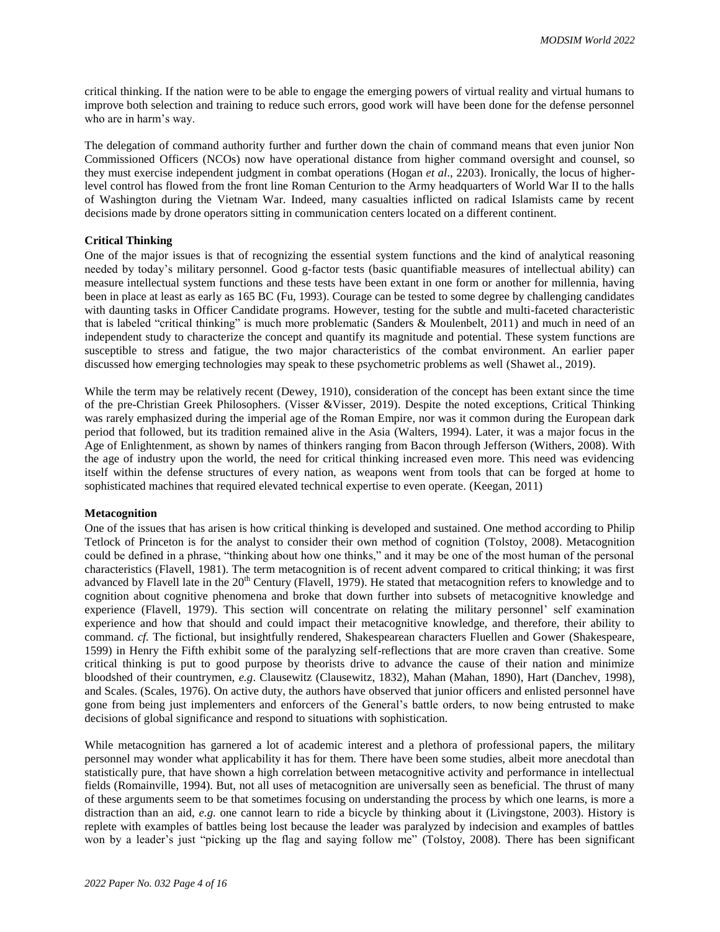critical thinking. If the nation were to be able to engage the emerging powers of virtual reality and virtual humans to improve both selection and training to reduce such errors, good work will have been done for the defense personnel who are in harm's way.

The delegation of command authority further and further down the chain of command means that even junior Non Commissioned Officers (NCOs) now have operational distance from higher command oversight and counsel, so they must exercise independent judgment in combat operations (Hogan *et al*., 2203). Ironically, the locus of higherlevel control has flowed from the front line Roman Centurion to the Army headquarters of World War II to the halls of Washington during the Vietnam War. Indeed, many casualties inflicted on radical Islamists came by recent decisions made by drone operators sitting in communication centers located on a different continent.

## **Critical Thinking**

One of the major issues is that of recognizing the essential system functions and the kind of analytical reasoning needed by today's military personnel. Good g-factor tests (basic quantifiable measures of intellectual ability) can measure intellectual system functions and these tests have been extant in one form or another for millennia, having been in place at least as early as 165 BC (Fu, 1993). Courage can be tested to some degree by challenging candidates with daunting tasks in Officer Candidate programs. However, testing for the subtle and multi-faceted characteristic that is labeled "critical thinking" is much more problematic (Sanders & Moulenbelt, 2011) and much in need of an independent study to characterize the concept and quantify its magnitude and potential. These system functions are susceptible to stress and fatigue, the two major characteristics of the combat environment. An earlier paper discussed how emerging technologies may speak to these psychometric problems as well (Shawet al., 2019).

While the term may be relatively recent (Dewey, 1910), consideration of the concept has been extant since the time of the pre-Christian Greek Philosophers. (Visser &Visser, 2019). Despite the noted exceptions, Critical Thinking was rarely emphasized during the imperial age of the Roman Empire, nor was it common during the European dark period that followed, but its tradition remained alive in the Asia (Walters, 1994). Later, it was a major focus in the Age of Enlightenment, as shown by names of thinkers ranging from Bacon through Jefferson (Withers, 2008). With the age of industry upon the world, the need for critical thinking increased even more. This need was evidencing itself within the defense structures of every nation, as weapons went from tools that can be forged at home to sophisticated machines that required elevated technical expertise to even operate. (Keegan, 2011)

#### **Metacognition**

One of the issues that has arisen is how critical thinking is developed and sustained. One method according to Philip Tetlock of Princeton is for the analyst to consider their own method of cognition (Tolstoy, 2008). Metacognition could be defined in a phrase, "thinking about how one thinks," and it may be one of the most human of the personal characteristics (Flavell, 1981). The term metacognition is of recent advent compared to critical thinking; it was first advanced by Flavell late in the 20<sup>th</sup> Century (Flavell, 1979). He stated that metacognition refers to knowledge and to cognition about cognitive phenomena and broke that down further into subsets of metacognitive knowledge and experience (Flavell, 1979). This section will concentrate on relating the military personnel' self examination experience and how that should and could impact their metacognitive knowledge, and therefore, their ability to command. *cf.* The fictional, but insightfully rendered, Shakespearean characters Fluellen and Gower (Shakespeare, 1599) in Henry the Fifth exhibit some of the paralyzing self-reflections that are more craven than creative. Some critical thinking is put to good purpose by theorists drive to advance the cause of their nation and minimize bloodshed of their countrymen, *e.g*. Clausewitz (Clausewitz, 1832), Mahan (Mahan, 1890), Hart (Danchev, 1998), and Scales. (Scales, 1976). On active duty, the authors have observed that junior officers and enlisted personnel have gone from being just implementers and enforcers of the General's battle orders, to now being entrusted to make decisions of global significance and respond to situations with sophistication.

While metacognition has garnered a lot of academic interest and a plethora of professional papers, the military personnel may wonder what applicability it has for them. There have been some studies, albeit more anecdotal than statistically pure, that have shown a high correlation between metacognitive activity and performance in intellectual fields (Romainville, 1994). But, not all uses of metacognition are universally seen as beneficial. The thrust of many of these arguments seem to be that sometimes focusing on understanding the process by which one learns, is more a distraction than an aid, *e.g.* one cannot learn to ride a bicycle by thinking about it (Livingstone, 2003). History is replete with examples of battles being lost because the leader was paralyzed by indecision and examples of battles won by a leader's just "picking up the flag and saying follow me" (Tolstoy, 2008). There has been significant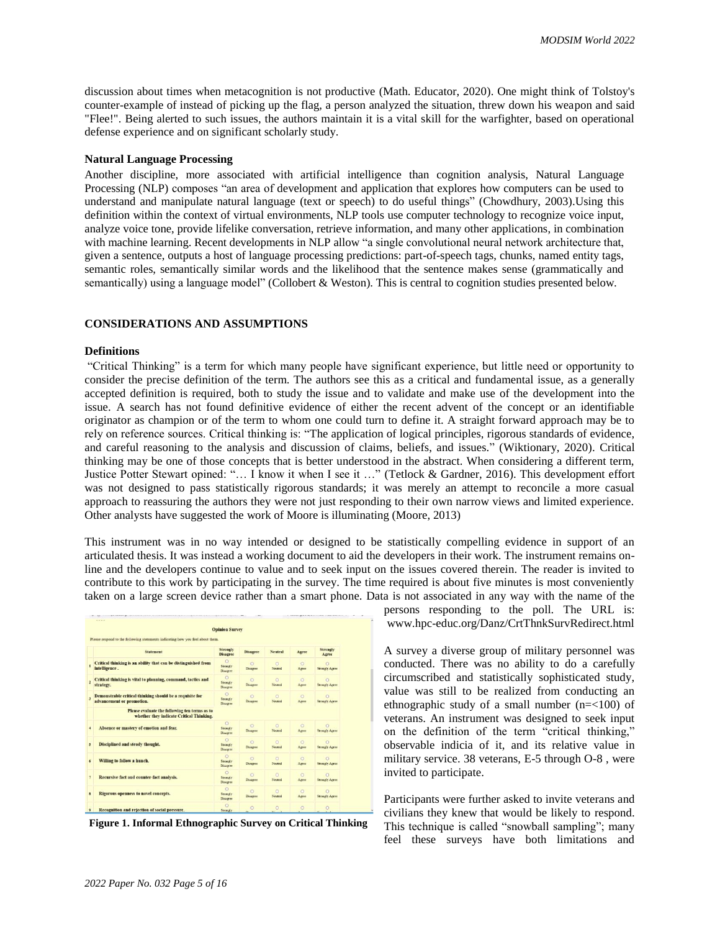discussion about times when metacognition is not productive (Math. Educator, 2020). One might think of Tolstoy's counter-example of instead of picking up the flag, a person analyzed the situation, threw down his weapon and said "Flee!". Being alerted to such issues, the authors maintain it is a vital skill for the warfighter, based on operational defense experience and on significant scholarly study.

#### **Natural Language Processing**

Another discipline, more associated with artificial intelligence than cognition analysis, Natural Language Processing (NLP) composes "an area of development and application that explores how computers can be used to understand and manipulate natural language (text or speech) to do useful things" (Chowdhury, 2003).Using this definition within the context of virtual environments, NLP tools use computer technology to recognize voice input, analyze voice tone, provide lifelike conversation, retrieve information, and many other applications, in combination with machine learning. Recent developments in NLP allow "a single convolutional neural network architecture that, given a sentence, outputs a host of language processing predictions: part-of-speech tags, chunks, named entity tags, semantic roles, semantically similar words and the likelihood that the sentence makes sense (grammatically and semantically) using a language model" (Collobert & Weston). This is central to cognition studies presented below.

## **CONSIDERATIONS AND ASSUMPTIONS**

#### **Definitions**

"Critical Thinking" is a term for which many people have significant experience, but little need or opportunity to consider the precise definition of the term. The authors see this as a critical and fundamental issue, as a generally accepted definition is required, both to study the issue and to validate and make use of the development into the issue. A search has not found definitive evidence of either the recent advent of the concept or an identifiable originator as champion or of the term to whom one could turn to define it. A straight forward approach may be to rely on reference sources. Critical thinking is: "The application of logical principles, rigorous standards of evidence, and careful reasoning to the analysis and discussion of claims, beliefs, and issues." (Wiktionary, 2020). Critical thinking may be one of those concepts that is better understood in the abstract. When considering a different term, Justice Potter Stewart opined: "… I know it when I see it …" (Tetlock & Gardner, 2016). This development effort was not designed to pass statistically rigorous standards; it was merely an attempt to reconcile a more casual approach to reassuring the authors they were not just responding to their own narrow views and limited experience. Other analysts have suggested the work of Moore is illuminating (Moore, 2013)

This instrument was in no way intended or designed to be statistically compelling evidence in support of an articulated thesis. It was instead a working document to aid the developers in their work. The instrument remains online and the developers continue to value and to seek input on the issues covered therein. The reader is invited to contribute to this work by participating in the survey. The time required is about five minutes is most conveniently taken on a large screen device rather than a smart phone. Data is not associated in any way with the name of the

|                         |                                                                                           | <b>Opinion Survey</b>                   |                             |                    |                  |                                   |
|-------------------------|-------------------------------------------------------------------------------------------|-----------------------------------------|-----------------------------|--------------------|------------------|-----------------------------------|
|                         | Please respond to the following statements indicating how you feel about them.            |                                         |                             |                    |                  |                                   |
|                         | <b>Statement</b>                                                                          | <b>Strongly</b><br><b>Disagree</b>      | <b>Disagree</b>             | <b>Neutral</b>     | Agree            | <b>Strongly</b><br>Agree          |
| 1                       | Critical thinking is an ability that can be distinguished from<br>intelligence.           | $\circ$<br>Strongly<br>Disagree         | $\alpha$<br><b>Disagree</b> | $\circ$<br>Neutral | $\circ$<br>Agree | $\circ$<br><b>Strongly Agree</b>  |
| $\overline{z}$          | Critical thinking is vital to planning, command, tactics and<br>strategy.                 | $\Omega$<br>Strongly<br>Disagree        | $\circ$<br>Disagree         | $\circ$<br>Neutral | $\circ$<br>Agree | $\circ$<br><b>Strongly Agree</b>  |
| $\overline{\mathbf{A}}$ | Demonstrable critical thinking should be a requisite for<br>advancement or promotion.     | $\Omega$<br>Strongly<br><b>Disagree</b> | $\circ$<br>Duaaree          | $\circ$<br>Neutral | $\circ$<br>Agree | $\circ$<br><b>Strongly Agree</b>  |
|                         | Please evaluate the following ten terms as to<br>whether they indicate Critical Thinking. |                                         |                             |                    |                  |                                   |
| $\ddot{\phantom{1}}$    | Absence or mastery of emotion and fear.                                                   | $\circ$<br>Strongly<br><b>Disagree</b>  | $\circ$<br>Disagree         | $\circ$<br>Neutral | $\circ$<br>Agnee | $\Omega$<br><b>Strongly Agree</b> |
| s                       | Disciplined and steady thought.                                                           | $\Omega$<br>Strongly<br>Disagree        | $\circ$<br><b>Disagree</b>  | $\circ$<br>Neutral | $\circ$<br>Agree | $\circ$<br><b>Strongly Agree</b>  |
| 6                       | Willing to follow a hunch.                                                                | $\Omega$<br><b>Strengly</b><br>Disagree | $\circ$<br>Disagree         | $\circ$<br>Neutral | $\circ$<br>Agree | $\circ$<br><b>Strongly Agree</b>  |
| $\overline{7}$          | Recursive fact and counter-fact analysis.                                                 | $\circ$<br><b>Strengly</b><br>Disagree  | $\circ$<br><b>Disagree</b>  | Ö<br>Nestral       | $\circ$<br>Agree | $\Omega$<br><b>Strongly Agree</b> |
| $\overline{\mathbf{x}}$ | Rigorous openness to novel concepts.                                                      | $\circ$<br>Sevengly<br>Disagree         | $\circ$<br><b>Disagree</b>  | $\circ$<br>Neutral | $\circ$<br>Agree | $\Omega$<br><b>Strongly Agree</b> |
| ۰                       | Recognition and rejection of social pressure.                                             | $\Omega$<br>Strongly                    | $\circ$                     | $\circ$            | $\circ$          | $\circ$                           |

**Figure 1. Informal Ethnographic Survey on Critical Thinking**

persons responding to the poll. The URL is: www.hpc-educ.org/Danz/CrtThnkSurvRedirect.html

A survey a diverse group of military personnel was conducted. There was no ability to do a carefully circumscribed and statistically sophisticated study, value was still to be realized from conducting an ethnographic study of a small number (n=<100) of veterans. An instrument was designed to seek input on the definition of the term "critical thinking," observable indicia of it, and its relative value in military service. 38 veterans, E-5 through O-8 , were invited to participate.

Participants were further asked to invite veterans and civilians they knew that would be likely to respond. This technique is called "snowball sampling"; many feel these surveys have both limitations and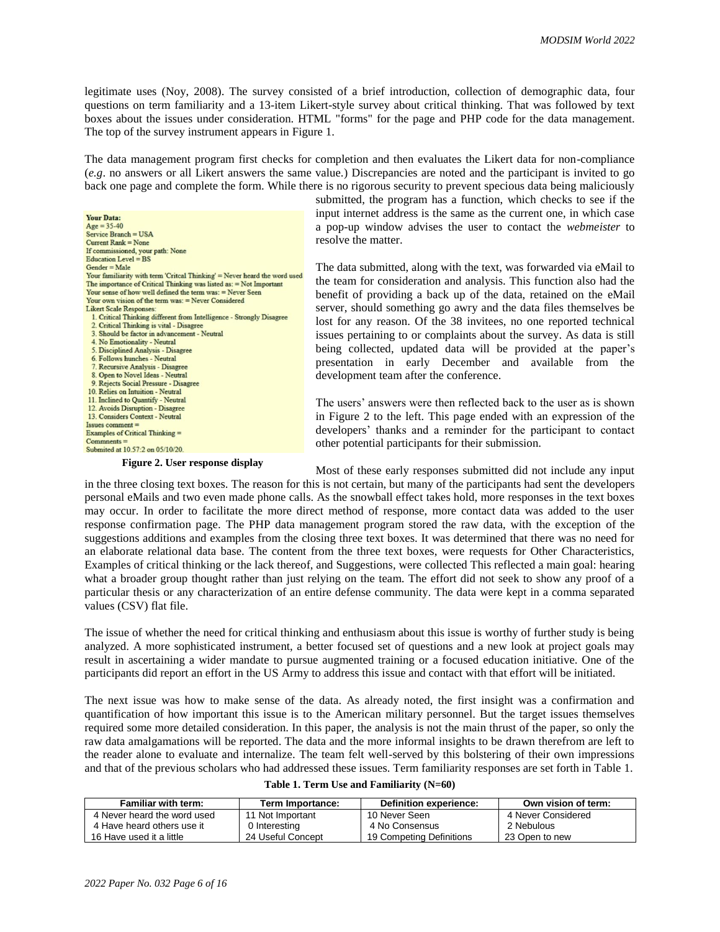legitimate uses (Noy, 2008). The survey consisted of a brief introduction, collection of demographic data, four questions on term familiarity and a 13-item Likert-style survey about critical thinking. That was followed by text boxes about the issues under consideration. HTML "forms" for the page and PHP code for the data management. The top of the survey instrument appears in Figure 1.

The data management program first checks for completion and then evaluates the Likert data for non-compliance (*e.g*. no answers or all Likert answers the same value.) Discrepancies are noted and the participant is invited to go back one page and complete the form. While there is no rigorous security to prevent specious data being maliciously

**Your Data:**  $A\alpha e = 35 - 40$ Service Branch = USA Current Rank = None If commissioned, your path: None Education Level = BS  $Gender = Male$ Your familiarity with term 'Critcal Thinking' = Never heard the word used The importance of Critical Thinking was listed as: = Not Important Your sense of how well defined the term was: = Never Seen Your own vision of the term was: = Never Considered Likert Scale Responses: 1. Critical Thinking different from Intelligence - Strongly Disagree 2. Critical Thinking is vital - Disagree 3. Should be factor in advancement - Neutral 4. No Emotionality - Neutral 5. Disciplined Analysis - Disagree 6. Follows hunches - Neutral Recursive Analysis - Disagree 8. Open to Novel Ideas - Neutral 9. Rejects Social Pressure - Disagree 10. Relies on Intuition - Neutral 11. Inclined to Quantify - Neutral 12. Avoids Disruption - Disagree 13. Considers Context - Neutral  $I$ sues comment =<br>Examples of Critical Thinking =  $Commonents =$ Submited at 10.57:2 on 05/10/20.

**Figure 2. User response display**

submitted, the program has a function, which checks to see if the input internet address is the same as the current one, in which case a pop-up window advises the user to contact the *webmeister* to resolve the matter.

The data submitted, along with the text, was forwarded via eMail to the team for consideration and analysis. This function also had the benefit of providing a back up of the data, retained on the eMail server, should something go awry and the data files themselves be lost for any reason. Of the 38 invitees, no one reported technical issues pertaining to or complaints about the survey. As data is still being collected, updated data will be provided at the paper's presentation in early December and available from the development team after the conference.

The users' answers were then reflected back to the user as is shown in [Figure](#page-5-0) 2 to the left. This page ended with an expression of the developers' thanks and a reminder for the participant to contact other potential participants for their submission.

<span id="page-5-0"></span>Most of these early responses submitted did not include any input in the three closing text boxes. The reason for this is not certain, but many of the participants had sent the developers personal eMails and two even made phone calls. As the snowball effect takes hold, more responses in the text boxes may occur. In order to facilitate the more direct method of response, more contact data was added to the user response confirmation page. The PHP data management program stored the raw data, with the exception of the suggestions additions and examples from the closing three text boxes. It was determined that there was no need for an elaborate relational data base. The content from the three text boxes, were requests for Other Characteristics, Examples of critical thinking or the lack thereof, and Suggestions, were collected This reflected a main goal: hearing what a broader group thought rather than just relying on the team. The effort did not seek to show any proof of a particular thesis or any characterization of an entire defense community. The data were kept in a comma separated values (CSV) flat file.

The issue of whether the need for critical thinking and enthusiasm about this issue is worthy of further study is being analyzed. A more sophisticated instrument, a better focused set of questions and a new look at project goals may result in ascertaining a wider mandate to pursue augmented training or a focused education initiative. One of the participants did report an effort in the US Army to address this issue and contact with that effort will be initiated.

The next issue was how to make sense of the data. As already noted, the first insight was a confirmation and quantification of how important this issue is to the American military personnel. But the target issues themselves required some more detailed consideration. In this paper, the analysis is not the main thrust of the paper, so only the raw data amalgamations will be reported. The data and the more informal insights to be drawn therefrom are left to the reader alone to evaluate and internalize. The team felt well-served by this bolstering of their own impressions and that of the previous scholars who had addressed these issues. Term familiarity responses are set forth in Table 1.

| <b>Familiar with term:</b>  | Term Importance:  | Definition experience:   | Own vision of term: |
|-----------------------------|-------------------|--------------------------|---------------------|
| 4 Never heard the word used | 11 Not Important  | 10 Never Seen            | 4 Never Considered  |
| 4 Have heard others use it  | 0 Interesting     | 4 No Consensus           | 2 Nebulous          |
| 16 Have used it a little    | 24 Useful Concept | 19 Competing Definitions | 23 Open to new      |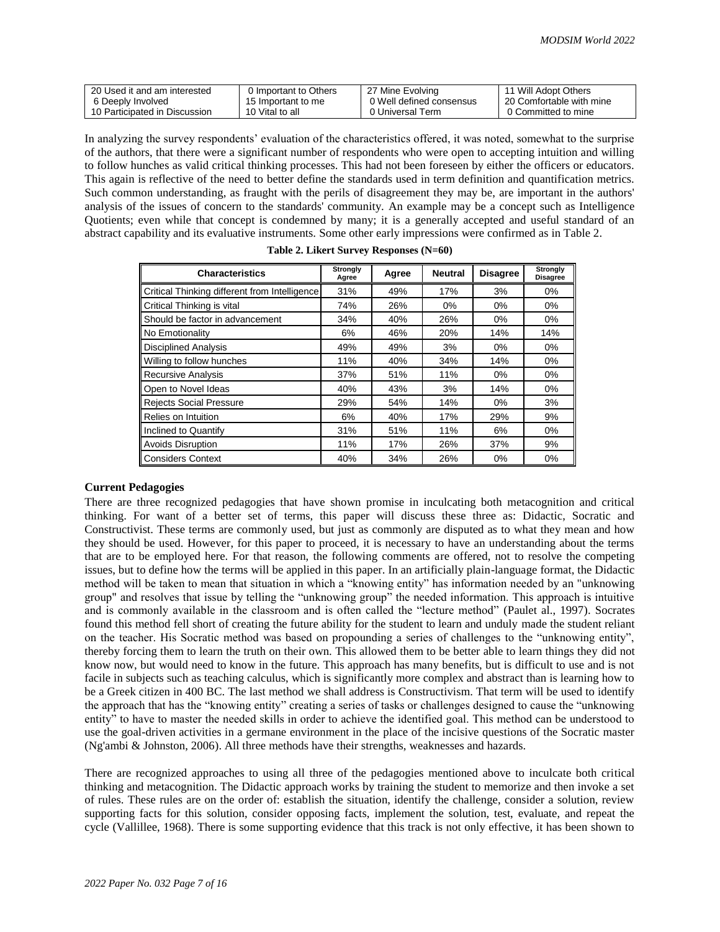| 20 Used it and am interested  | 0 Important to Others | 27 Mine Evolving         | 11 Will Adopt Others     |
|-------------------------------|-----------------------|--------------------------|--------------------------|
| 6 Deeply Involved             | 15 Important to me    | 0 Well defined consensus | 20 Comfortable with mine |
| 10 Participated in Discussion | 10 Vital to all       | 0 Universal Term         | 0 Committed to mine      |

In analyzing the survey respondents' evaluation of the characteristics offered, it was noted, somewhat to the surprise of the authors, that there were a significant number of respondents who were open to accepting intuition and willing to follow hunches as valid critical thinking processes. This had not been foreseen by either the officers or educators. This again is reflective of the need to better define the standards used in term definition and quantification metrics. Such common understanding, as fraught with the perils of disagreement they may be, are important in the authors' analysis of the issues of concern to the standards' community. An example may be a concept such as Intelligence Quotients; even while that concept is condemned by many; it is a generally accepted and useful standard of an abstract capability and its evaluative instruments. Some other early impressions were confirmed as in Table 2.

| <b>Characteristics</b>                        | Strongly<br>Agree | Agree | <b>Neutral</b> | <b>Disagree</b> | <b>Strongly</b><br><b>Disagree</b> |
|-----------------------------------------------|-------------------|-------|----------------|-----------------|------------------------------------|
| Critical Thinking different from Intelligence | 31%               | 49%   | 17%            | 3%              | $0\%$                              |
| Critical Thinking is vital                    | 74%               | 26%   | $0\%$          | $0\%$           | $0\%$                              |
| Should be factor in advancement               | 34%               | 40%   | 26%            | $0\%$           | $0\%$                              |
| No Emotionality                               | 6%                | 46%   | 20%            | 14%             | 14%                                |
| <b>Disciplined Analysis</b>                   | 49%               | 49%   | 3%             | $0\%$           | $0\%$                              |
| Willing to follow hunches                     | 11%               | 40%   | 34%            | 14%             | $0\%$                              |
| <b>Recursive Analysis</b>                     | 37%               | 51%   | 11%            | $0\%$           | $0\%$                              |
| Open to Novel Ideas                           | 40%               | 43%   | 3%             | 14%             | $0\%$                              |
| <b>Rejects Social Pressure</b>                | 29%               | 54%   | 14%            | $0\%$           | 3%                                 |
| Relies on Intuition                           | 6%                | 40%   | 17%            | 29%             | 9%                                 |
| Inclined to Quantify                          | 31%               | 51%   | 11%            | 6%              | $0\%$                              |
| <b>Avoids Disruption</b>                      | 11%               | 17%   | 26%            | 37%             | 9%                                 |
| <b>Considers Context</b>                      | 40%               | 34%   | 26%            | $0\%$           | 0%                                 |

|  | Table 2. Likert Survey Responses (N=60) |  |
|--|-----------------------------------------|--|
|  |                                         |  |

#### **Current Pedagogies**

There are three recognized pedagogies that have shown promise in inculcating both metacognition and critical thinking. For want of a better set of terms, this paper will discuss these three as: Didactic, Socratic and Constructivist. These terms are commonly used, but just as commonly are disputed as to what they mean and how they should be used. However, for this paper to proceed, it is necessary to have an understanding about the terms that are to be employed here. For that reason, the following comments are offered, not to resolve the competing issues, but to define how the terms will be applied in this paper. In an artificially plain-language format, the Didactic method will be taken to mean that situation in which a "knowing entity" has information needed by an "unknowing group" and resolves that issue by telling the "unknowing group" the needed information. This approach is intuitive and is commonly available in the classroom and is often called the "lecture method" (Paulet al., 1997). Socrates found this method fell short of creating the future ability for the student to learn and unduly made the student reliant on the teacher. His Socratic method was based on propounding a series of challenges to the "unknowing entity", thereby forcing them to learn the truth on their own. This allowed them to be better able to learn things they did not know now, but would need to know in the future. This approach has many benefits, but is difficult to use and is not facile in subjects such as teaching calculus, which is significantly more complex and abstract than is learning how to be a Greek citizen in 400 BC. The last method we shall address is Constructivism. That term will be used to identify the approach that has the "knowing entity" creating a series of tasks or challenges designed to cause the "unknowing entity" to have to master the needed skills in order to achieve the identified goal. This method can be understood to use the goal-driven activities in a germane environment in the place of the incisive questions of the Socratic master (Ng'ambi & Johnston, 2006). All three methods have their strengths, weaknesses and hazards.

There are recognized approaches to using all three of the pedagogies mentioned above to inculcate both critical thinking and metacognition. The Didactic approach works by training the student to memorize and then invoke a set of rules. These rules are on the order of: establish the situation, identify the challenge, consider a solution, review supporting facts for this solution, consider opposing facts, implement the solution, test, evaluate, and repeat the cycle (Vallillee, 1968). There is some supporting evidence that this track is not only effective, it has been shown to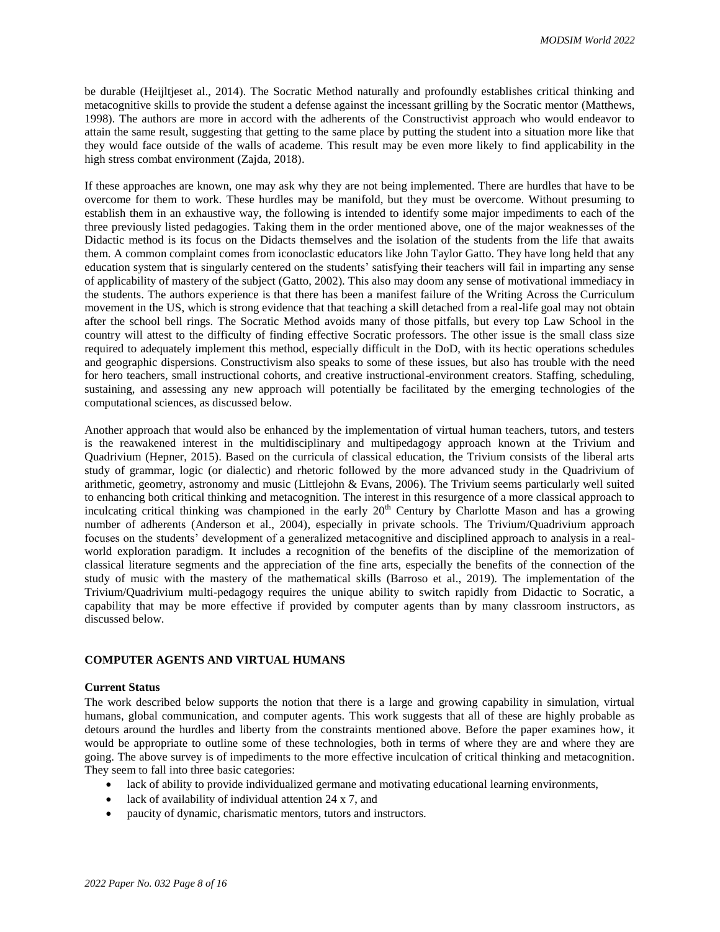be durable (Heijltjeset al., 2014). The Socratic Method naturally and profoundly establishes critical thinking and metacognitive skills to provide the student a defense against the incessant grilling by the Socratic mentor (Matthews, 1998). The authors are more in accord with the adherents of the Constructivist approach who would endeavor to attain the same result, suggesting that getting to the same place by putting the student into a situation more like that they would face outside of the walls of academe. This result may be even more likely to find applicability in the high stress combat environment (Zajda, 2018).

If these approaches are known, one may ask why they are not being implemented. There are hurdles that have to be overcome for them to work. These hurdles may be manifold, but they must be overcome. Without presuming to establish them in an exhaustive way, the following is intended to identify some major impediments to each of the three previously listed pedagogies. Taking them in the order mentioned above, one of the major weaknesses of the Didactic method is its focus on the Didacts themselves and the isolation of the students from the life that awaits them. A common complaint comes from iconoclastic educators like John Taylor Gatto. They have long held that any education system that is singularly centered on the students' satisfying their teachers will fail in imparting any sense of applicability of mastery of the subject (Gatto, 2002). This also may doom any sense of motivational immediacy in the students. The authors experience is that there has been a manifest failure of the Writing Across the Curriculum movement in the US, which is strong evidence that that teaching a skill detached from a real-life goal may not obtain after the school bell rings. The Socratic Method avoids many of those pitfalls, but every top Law School in the country will attest to the difficulty of finding effective Socratic professors. The other issue is the small class size required to adequately implement this method, especially difficult in the DoD, with its hectic operations schedules and geographic dispersions. Constructivism also speaks to some of these issues, but also has trouble with the need for hero teachers, small instructional cohorts, and creative instructional-environment creators. Staffing, scheduling, sustaining, and assessing any new approach will potentially be facilitated by the emerging technologies of the computational sciences, as discussed below.

Another approach that would also be enhanced by the implementation of virtual human teachers, tutors, and testers is the reawakened interest in the multidisciplinary and multipedagogy approach known at the Trivium and Quadrivium (Hepner, 2015). Based on the curricula of classical education, the Trivium consists of the liberal arts study of grammar, logic (or dialectic) and rhetoric followed by the more advanced study in the Quadrivium of arithmetic, geometry, astronomy and music (Littlejohn & Evans, 2006). The Trivium seems particularly well suited to enhancing both critical thinking and metacognition. The interest in this resurgence of a more classical approach to inculcating critical thinking was championed in the early 20<sup>th</sup> Century by Charlotte Mason and has a growing number of adherents (Anderson et al., 2004), especially in private schools. The Trivium/Quadrivium approach focuses on the students' development of a generalized metacognitive and disciplined approach to analysis in a realworld exploration paradigm. It includes a recognition of the benefits of the discipline of the memorization of classical literature segments and the appreciation of the fine arts, especially the benefits of the connection of the study of music with the mastery of the mathematical skills (Barroso et al., 2019). The implementation of the Trivium/Quadrivium multi-pedagogy requires the unique ability to switch rapidly from Didactic to Socratic, a capability that may be more effective if provided by computer agents than by many classroom instructors, as discussed below.

# **COMPUTER AGENTS AND VIRTUAL HUMANS**

#### **Current Status**

The work described below supports the notion that there is a large and growing capability in simulation, virtual humans, global communication, and computer agents. This work suggests that all of these are highly probable as detours around the hurdles and liberty from the constraints mentioned above. Before the paper examines how, it would be appropriate to outline some of these technologies, both in terms of where they are and where they are going. The above survey is of impediments to the more effective inculcation of critical thinking and metacognition. They seem to fall into three basic categories:

- lack of ability to provide individualized germane and motivating educational learning environments,
- lack of availability of individual attention 24 x 7, and
- paucity of dynamic, charismatic mentors, tutors and instructors.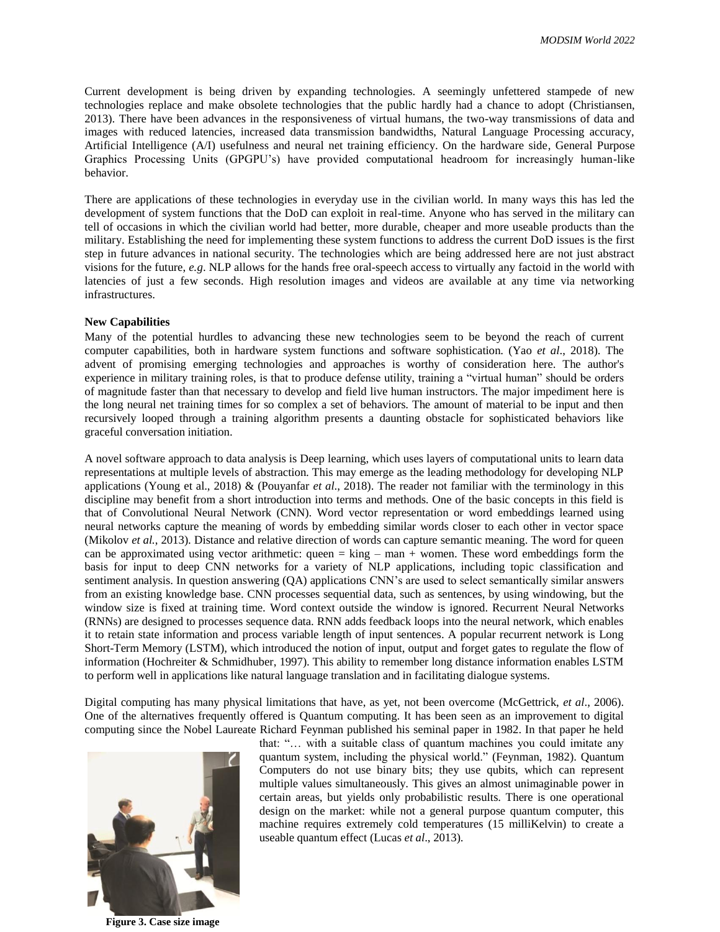Current development is being driven by expanding technologies. A seemingly unfettered stampede of new technologies replace and make obsolete technologies that the public hardly had a chance to adopt (Christiansen, 2013). There have been advances in the responsiveness of virtual humans, the two-way transmissions of data and images with reduced latencies, increased data transmission bandwidths, Natural Language Processing accuracy, Artificial Intelligence (A/I) usefulness and neural net training efficiency. On the hardware side, General Purpose Graphics Processing Units (GPGPU's) have provided computational headroom for increasingly human-like behavior.

There are applications of these technologies in everyday use in the civilian world. In many ways this has led the development of system functions that the DoD can exploit in real-time. Anyone who has served in the military can tell of occasions in which the civilian world had better, more durable, cheaper and more useable products than the military. Establishing the need for implementing these system functions to address the current DoD issues is the first step in future advances in national security. The technologies which are being addressed here are not just abstract visions for the future, *e.g*. NLP allows for the hands free oral-speech access to virtually any factoid in the world with latencies of just a few seconds. High resolution images and videos are available at any time via networking infrastructures.

#### **New Capabilities**

Many of the potential hurdles to advancing these new technologies seem to be beyond the reach of current computer capabilities, both in hardware system functions and software sophistication. (Yao *et al*., 2018). The advent of promising emerging technologies and approaches is worthy of consideration here. The author's experience in military training roles, is that to produce defense utility, training a "virtual human" should be orders of magnitude faster than that necessary to develop and field live human instructors. The major impediment here is the long neural net training times for so complex a set of behaviors. The amount of material to be input and then recursively looped through a training algorithm presents a daunting obstacle for sophisticated behaviors like graceful conversation initiation.

A novel software approach to data analysis is Deep learning, which uses layers of computational units to learn data representations at multiple levels of abstraction. This may emerge as the leading methodology for developing NLP applications (Young et al., 2018) & (Pouyanfar *et al*., 2018). The reader not familiar with the terminology in this discipline may benefit from a short introduction into terms and methods. One of the basic concepts in this field is that of Convolutional Neural Network (CNN). Word vector representation or word embeddings learned using neural networks capture the meaning of words by embedding similar words closer to each other in vector space (Mikolov *et al.*, 2013). Distance and relative direction of words can capture semantic meaning. The word for queen can be approximated using vector arithmetic: queen  $=$  king  $-$  man  $+$  women. These word embeddings form the basis for input to deep CNN networks for a variety of NLP applications, including topic classification and sentiment analysis. In question answering (QA) applications CNN's are used to select semantically similar answers from an existing knowledge base. CNN processes sequential data, such as sentences, by using windowing, but the window size is fixed at training time. Word context outside the window is ignored. Recurrent Neural Networks (RNNs) are designed to processes sequence data. RNN adds feedback loops into the neural network, which enables it to retain state information and process variable length of input sentences. A popular recurrent network is Long Short-Term Memory (LSTM), which introduced the notion of input, output and forget gates to regulate the flow of information (Hochreiter & Schmidhuber, 1997). This ability to remember long distance information enables LSTM to perform well in applications like natural language translation and in facilitating dialogue systems.

Digital computing has many physical limitations that have, as yet, not been overcome (McGettrick, *et al*., 2006). One of the alternatives frequently offered is Quantum computing. It has been seen as an improvement to digital computing since the Nobel Laureate Richard Feynman published his seminal paper in 1982. In that paper he held

<span id="page-8-0"></span>

**Figure 3. Case size image**

that: "… with a suitable class of quantum machines you could imitate any quantum system, including the physical world." (Feynman, 1982). Quantum Computers do not use binary bits; they use qubits, which can represent multiple values simultaneously. This gives an almost unimaginable power in certain areas, but yields only probabilistic results. There is one operational design on the market: while not a general purpose quantum computer, this machine requires extremely cold temperatures (15 milliKelvin) to create a useable quantum effect (Lucas *et al*., 2013).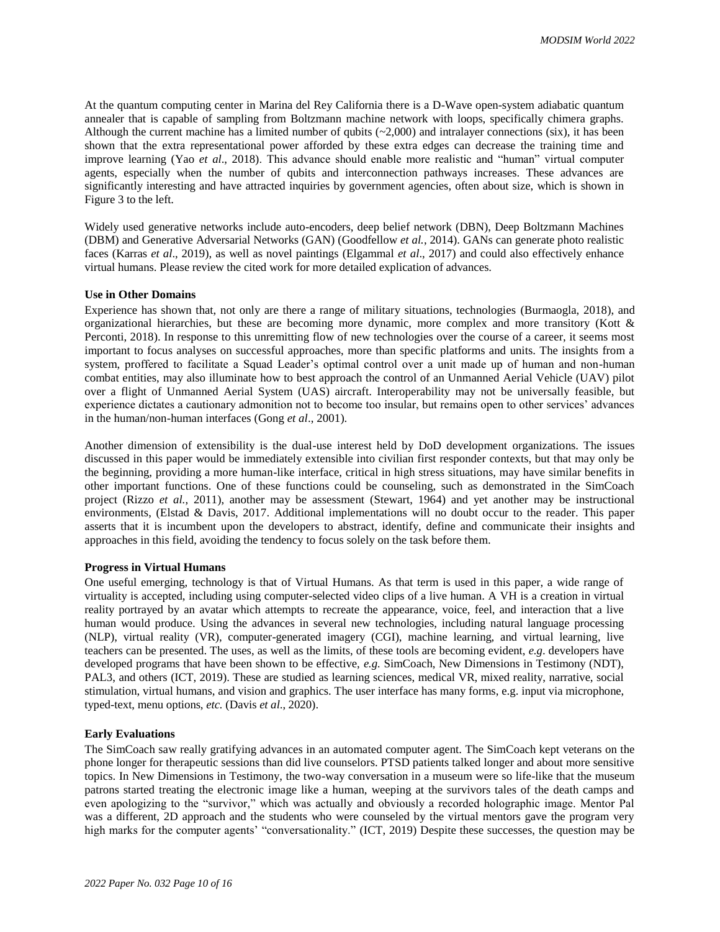At the quantum computing center in Marina del Rey California there is a D-Wave open-system adiabatic quantum annealer that is capable of sampling from Boltzmann machine network with loops, specifically chimera graphs. Although the current machine has a limited number of qubits  $(\sim 2,000)$  and intralayer connections (six), it has been shown that the extra representational power afforded by these extra edges can decrease the training time and improve learning (Yao *et al*., 2018). This advance should enable more realistic and "human" virtual computer agents, especially when the number of qubits and interconnection pathways increases. These advances are significantly interesting and have attracted inquiries by government agencies, often about size, which is shown in [Figure](#page-8-0) 3 to the left.

Widely used generative networks include auto-encoders, deep belief network (DBN), Deep Boltzmann Machines (DBM) and Generative Adversarial Networks (GAN) (Goodfellow *et al.*, 2014). GANs can generate photo realistic faces (Karras *et al*., 2019), as well as novel paintings (Elgammal *et al*., 2017) and could also effectively enhance virtual humans. Please review the cited work for more detailed explication of advances.

#### **Use in Other Domains**

Experience has shown that, not only are there a range of military situations, technologies (Burmaogla, 2018), and organizational hierarchies, but these are becoming more dynamic, more complex and more transitory (Kott & Perconti, 2018). In response to this unremitting flow of new technologies over the course of a career, it seems most important to focus analyses on successful approaches, more than specific platforms and units. The insights from a system, proffered to facilitate a Squad Leader's optimal control over a unit made up of human and non-human combat entities, may also illuminate how to best approach the control of an Unmanned Aerial Vehicle (UAV) pilot over a flight of Unmanned Aerial System (UAS) aircraft. Interoperability may not be universally feasible, but experience dictates a cautionary admonition not to become too insular, but remains open to other services' advances in the human/non-human interfaces (Gong *et al*., 2001).

Another dimension of extensibility is the dual-use interest held by DoD development organizations. The issues discussed in this paper would be immediately extensible into civilian first responder contexts, but that may only be the beginning, providing a more human-like interface, critical in high stress situations, may have similar benefits in other important functions. One of these functions could be counseling, such as demonstrated in the SimCoach project (Rizzo *et al.*, 2011), another may be assessment (Stewart, 1964) and yet another may be instructional environments, (Elstad & Davis, 2017. Additional implementations will no doubt occur to the reader. This paper asserts that it is incumbent upon the developers to abstract, identify, define and communicate their insights and approaches in this field, avoiding the tendency to focus solely on the task before them.

#### **Progress in Virtual Humans**

One useful emerging, technology is that of Virtual Humans. As that term is used in this paper, a wide range of virtuality is accepted, including using computer-selected video clips of a live human. A VH is a creation in virtual reality portrayed by an avatar which attempts to recreate the appearance, voice, feel, and interaction that a live human would produce. Using the advances in several new technologies, including natural language processing (NLP), virtual reality (VR), computer-generated imagery (CGI), machine learning, and virtual learning, live teachers can be presented. The uses, as well as the limits, of these tools are becoming evident, *e.g*. developers have developed programs that have been shown to be effective, *e.g.* SimCoach, New Dimensions in Testimony (NDT), PAL3, and others (ICT, 2019). These are studied as learning sciences, medical VR, mixed reality, narrative, social stimulation, virtual humans, and vision and graphics. The user interface has many forms, e.g. input via microphone, typed-text, menu options, *etc.* (Davis *et al*., 2020).

#### **Early Evaluations**

The SimCoach saw really gratifying advances in an automated computer agent. The SimCoach kept veterans on the phone longer for therapeutic sessions than did live counselors. PTSD patients talked longer and about more sensitive topics. In New Dimensions in Testimony, the two-way conversation in a museum were so life-like that the museum patrons started treating the electronic image like a human, weeping at the survivors tales of the death camps and even apologizing to the "survivor," which was actually and obviously a recorded holographic image. Mentor Pal was a different, 2D approach and the students who were counseled by the virtual mentors gave the program very high marks for the computer agents' "conversationality." (ICT, 2019) Despite these successes, the question may be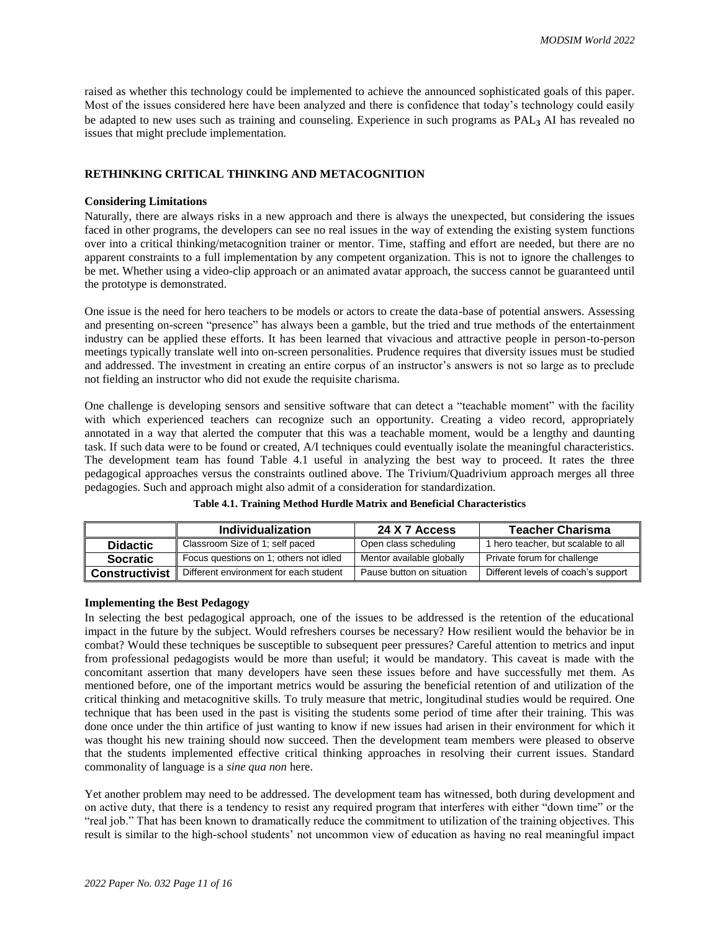raised as whether this technology could be implemented to achieve the announced sophisticated goals of this paper. Most of the issues considered here have been analyzed and there is confidence that today's technology could easily be adapted to new uses such as training and counseling. Experience in such programs as PAL<sub>3</sub> AI has revealed no issues that might preclude implementation.

# **RETHINKING CRITICAL THINKING AND METACOGNITION**

### **Considering Limitations**

Naturally, there are always risks in a new approach and there is always the unexpected, but considering the issues faced in other programs, the developers can see no real issues in the way of extending the existing system functions over into a critical thinking/metacognition trainer or mentor. Time, staffing and effort are needed, but there are no apparent constraints to a full implementation by any competent organization. This is not to ignore the challenges to be met. Whether using a video-clip approach or an animated avatar approach, the success cannot be guaranteed until the prototype is demonstrated.

One issue is the need for hero teachers to be models or actors to create the data-base of potential answers. Assessing and presenting on-screen "presence" has always been a gamble, but the tried and true methods of the entertainment industry can be applied these efforts. It has been learned that vivacious and attractive people in person-to-person meetings typically translate well into on-screen personalities. Prudence requires that diversity issues must be studied and addressed. The investment in creating an entire corpus of an instructor's answers is not so large as to preclude not fielding an instructor who did not exude the requisite charisma.

One challenge is developing sensors and sensitive software that can detect a "teachable moment" with the facility with which experienced teachers can recognize such an opportunity. Creating a video record, appropriately annotated in a way that alerted the computer that this was a teachable moment, would be a lengthy and daunting task. If such data were to be found or created, A/I techniques could eventually isolate the meaningful characteristics. The development team has found Table 4.1 useful in analyzing the best way to proceed. It rates the three pedagogical approaches versus the constraints outlined above. The Trivium/Quadrivium approach merges all three pedagogies. Such and approach might also admit of a consideration for standardization.

|                       | Individualization                      | 24 X 7 Access             | <b>Teacher Charisma</b>             |
|-----------------------|----------------------------------------|---------------------------|-------------------------------------|
| <b>Didactic</b>       | Classroom Size of 1; self paced        | Open class scheduling     | 1 hero teacher, but scalable to all |
| <b>Socratic</b>       | Focus questions on 1; others not idled | Mentor available globally | Private forum for challenge         |
| <b>Constructivist</b> | Different environment for each student | Pause button on situation | Different levels of coach's support |

**Table 4.1. Training Method Hurdle Matrix and Beneficial Characteristics**

## **Implementing the Best Pedagogy**

In selecting the best pedagogical approach, one of the issues to be addressed is the retention of the educational impact in the future by the subject. Would refreshers courses be necessary? How resilient would the behavior be in combat? Would these techniques be susceptible to subsequent peer pressures? Careful attention to metrics and input from professional pedagogists would be more than useful; it would be mandatory. This caveat is made with the concomitant assertion that many developers have seen these issues before and have successfully met them. As mentioned before, one of the important metrics would be assuring the beneficial retention of and utilization of the critical thinking and metacognitive skills. To truly measure that metric, longitudinal studies would be required. One technique that has been used in the past is visiting the students some period of time after their training. This was done once under the thin artifice of just wanting to know if new issues had arisen in their environment for which it was thought his new training should now succeed. Then the development team members were pleased to observe that the students implemented effective critical thinking approaches in resolving their current issues. Standard commonality of language is a *sine qua non* here.

Yet another problem may need to be addressed. The development team has witnessed, both during development and on active duty, that there is a tendency to resist any required program that interferes with either "down time" or the "real job." That has been known to dramatically reduce the commitment to utilization of the training objectives. This result is similar to the high-school students' not uncommon view of education as having no real meaningful impact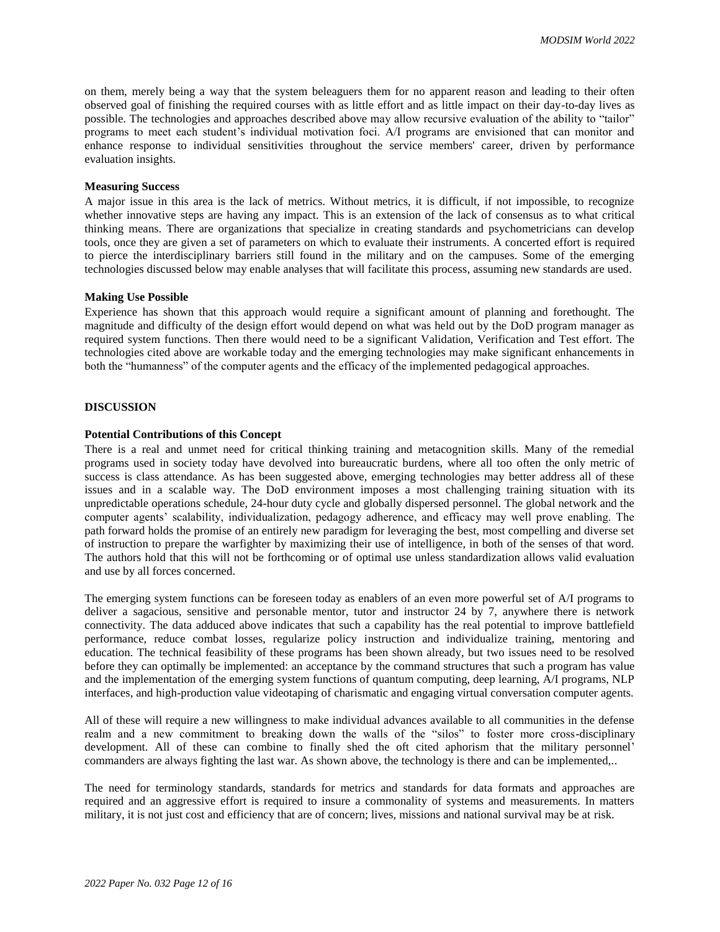on them, merely being a way that the system beleaguers them for no apparent reason and leading to their often observed goal of finishing the required courses with as little effort and as little impact on their day-to-day lives as possible. The technologies and approaches described above may allow recursive evaluation of the ability to "tailor" programs to meet each student's individual motivation foci. A/I programs are envisioned that can monitor and enhance response to individual sensitivities throughout the service members' career, driven by performance evaluation insights.

## **Measuring Success**

A major issue in this area is the lack of metrics. Without metrics, it is difficult, if not impossible, to recognize whether innovative steps are having any impact. This is an extension of the lack of consensus as to what critical thinking means. There are organizations that specialize in creating standards and psychometricians can develop tools, once they are given a set of parameters on which to evaluate their instruments. A concerted effort is required to pierce the interdisciplinary barriers still found in the military and on the campuses. Some of the emerging technologies discussed below may enable analyses that will facilitate this process, assuming new standards are used.

#### **Making Use Possible**

Experience has shown that this approach would require a significant amount of planning and forethought. The magnitude and difficulty of the design effort would depend on what was held out by the DoD program manager as required system functions. Then there would need to be a significant Validation, Verification and Test effort. The technologies cited above are workable today and the emerging technologies may make significant enhancements in both the "humanness" of the computer agents and the efficacy of the implemented pedagogical approaches.

## **DISCUSSION**

#### **Potential Contributions of this Concept**

There is a real and unmet need for critical thinking training and metacognition skills. Many of the remedial programs used in society today have devolved into bureaucratic burdens, where all too often the only metric of success is class attendance. As has been suggested above, emerging technologies may better address all of these issues and in a scalable way. The DoD environment imposes a most challenging training situation with its unpredictable operations schedule, 24-hour duty cycle and globally dispersed personnel. The global network and the computer agents' scalability, individualization, pedagogy adherence, and efficacy may well prove enabling. The path forward holds the promise of an entirely new paradigm for leveraging the best, most compelling and diverse set of instruction to prepare the warfighter by maximizing their use of intelligence, in both of the senses of that word. The authors hold that this will not be forthcoming or of optimal use unless standardization allows valid evaluation and use by all forces concerned.

The emerging system functions can be foreseen today as enablers of an even more powerful set of A/I programs to deliver a sagacious, sensitive and personable mentor, tutor and instructor 24 by 7, anywhere there is network connectivity. The data adduced above indicates that such a capability has the real potential to improve battlefield performance, reduce combat losses, regularize policy instruction and individualize training, mentoring and education. The technical feasibility of these programs has been shown already, but two issues need to be resolved before they can optimally be implemented: an acceptance by the command structures that such a program has value and the implementation of the emerging system functions of quantum computing, deep learning, A/I programs, NLP interfaces, and high-production value videotaping of charismatic and engaging virtual conversation computer agents.

All of these will require a new willingness to make individual advances available to all communities in the defense realm and a new commitment to breaking down the walls of the "silos" to foster more cross-disciplinary development. All of these can combine to finally shed the oft cited aphorism that the military personnel' commanders are always fighting the last war. As shown above, the technology is there and can be implemented,..

The need for terminology standards, standards for metrics and standards for data formats and approaches are required and an aggressive effort is required to insure a commonality of systems and measurements. In matters military, it is not just cost and efficiency that are of concern; lives, missions and national survival may be at risk.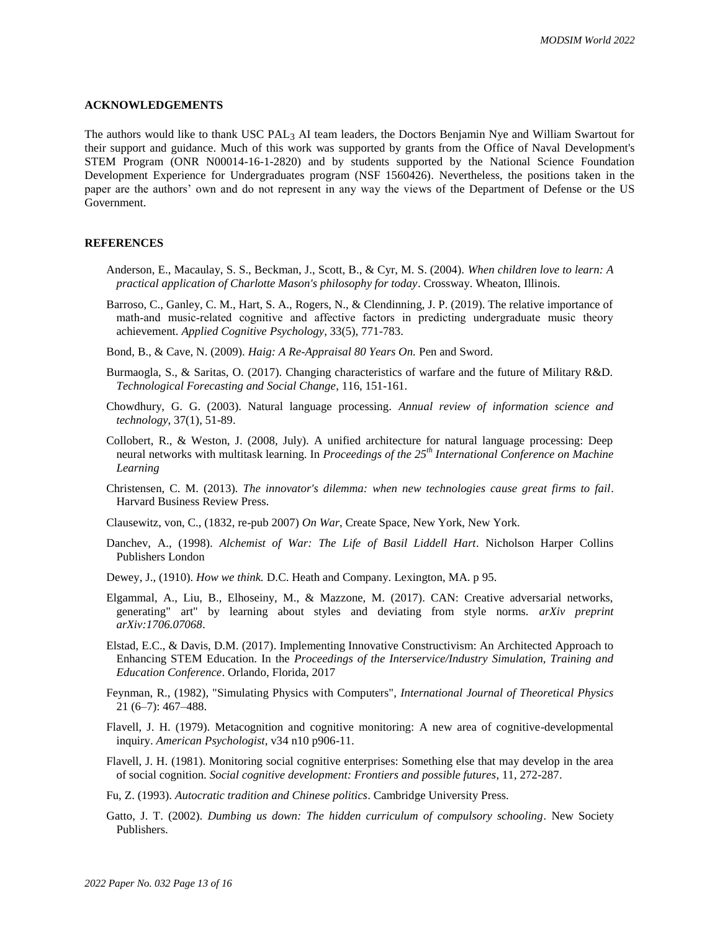#### **ACKNOWLEDGEMENTS**

The authors would like to thank USC PAL3 AI team leaders, the Doctors Benjamin Nye and William Swartout for their support and guidance. Much of this work was supported by grants from the Office of Naval Development's STEM Program (ONR N00014-16-1-2820) and by students supported by the National Science Foundation Development Experience for Undergraduates program (NSF 1560426). Nevertheless, the positions taken in the paper are the authors' own and do not represent in any way the views of the Department of Defense or the US Government.

#### **REFERENCES**

- Anderson, E., Macaulay, S. S., Beckman, J., Scott, B., & Cyr, M. S. (2004). *When children love to learn: A practical application of Charlotte Mason's philosophy for today*. Crossway. Wheaton, Illinois.
- Barroso, C., Ganley, C. M., Hart, S. A., Rogers, N., & Clendinning, J. P. (2019). The relative importance of math-and music-related cognitive and affective factors in predicting undergraduate music theory achievement. *Applied Cognitive Psychology*, 33(5), 771-783.
- Bond, B., & Cave, N. (2009). *Haig: A Re-Appraisal 80 Years On.* Pen and Sword.
- Burmaogla, S., & Saritas, O. (2017). Changing characteristics of warfare and the future of Military R&D. *Technological Forecasting and Social Change*, 116, 151-161.
- Chowdhury, G. G. (2003). Natural language processing. *Annual review of information science and technology*, 37(1), 51-89.
- Collobert, R., & Weston, J. (2008, July). A unified architecture for natural language processing: Deep neural networks with multitask learning. In *Proceedings of the 25th International Conference on Machine Learning*
- Christensen, C. M. (2013). *The innovator's dilemma: when new technologies cause great firms to fail*. Harvard Business Review Press.
- Clausewitz, von, C., (1832, re-pub 2007) *On War*, Create Space, New York, New York.
- Danchev, A., (1998). *Alchemist of War: The Life of Basil Liddell Hart*. Nicholson Harper Collins Publishers London
- Dewey, J., (1910). *How we think.* D.C. Heath and Company. Lexington, MA. p 95.
- Elgammal, A., Liu, B., Elhoseiny, M., & Mazzone, M. (2017). CAN: Creative adversarial networks, generating" art" by learning about styles and deviating from style norms. *arXiv preprint arXiv:1706.07068*.
- Elstad, E.C., & Davis, D.M. (2017). Implementing Innovative Constructivism: An Architected Approach to Enhancing STEM Education. In the *Proceedings of the Interservice/Industry Simulation, Training and Education Conference*. Orlando, Florida, 2017
- Feynman, R., (1982), "Simulating Physics with Computers", *International Journal of Theoretical Physics* 21 (6–7): 467–488.
- Flavell, J. H. (1979). Metacognition and cognitive monitoring: A new area of cognitive-developmental inquiry. *American Psychologist*, v34 n10 p906-11.
- Flavell, J. H. (1981). Monitoring social cognitive enterprises: Something else that may develop in the area of social cognition. *Social cognitive development: Frontiers and possible futures*, 11, 272-287.

Fu, Z. (1993). *Autocratic tradition and Chinese politics*. Cambridge University Press.

Gatto, J. T. (2002). *Dumbing us down: The hidden curriculum of compulsory schooling*. New Society Publishers.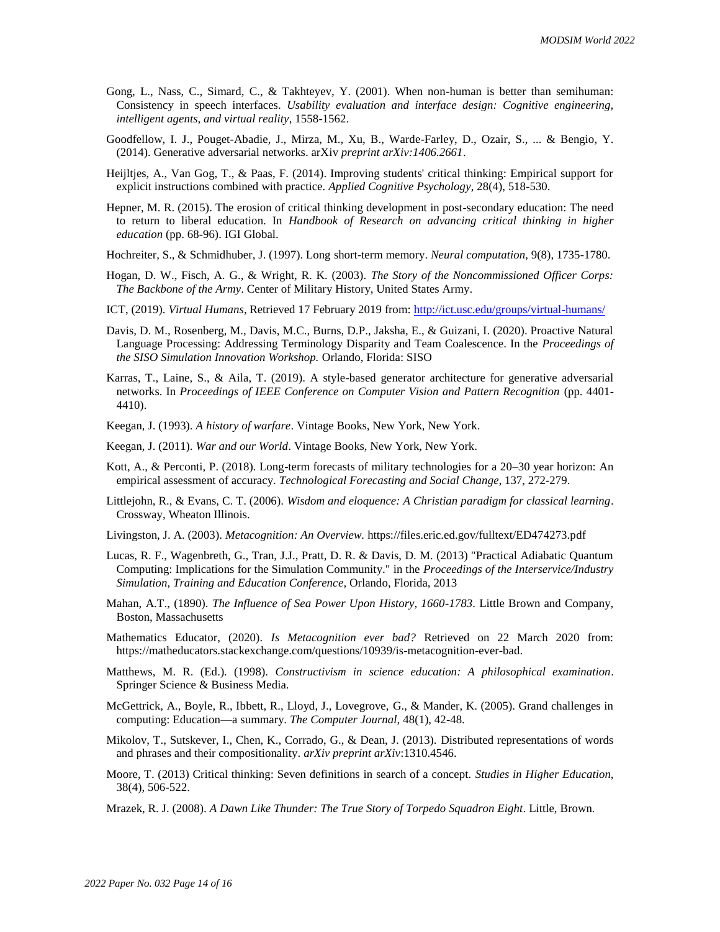- Gong, L., Nass, C., Simard, C., & Takhteyev, Y. (2001). When non-human is better than semihuman: Consistency in speech interfaces. *Usability evaluation and interface design: Cognitive engineering, intelligent agents, and virtual reality*, 1558-1562.
- Goodfellow, I. J., Pouget-Abadie, J., Mirza, M., Xu, B., Warde-Farley, D., Ozair, S., ... & Bengio, Y. (2014). Generative adversarial networks. arXiv *preprint arXiv:1406.2661*.
- Heijltjes, A., Van Gog, T., & Paas, F. (2014). Improving students' critical thinking: Empirical support for explicit instructions combined with practice. *Applied Cognitive Psychology*, 28(4), 518-530.
- Hepner, M. R. (2015). The erosion of critical thinking development in post-secondary education: The need to return to liberal education. In *Handbook of Research on advancing critical thinking in higher education* (pp. 68-96). IGI Global.
- Hochreiter, S., & Schmidhuber, J. (1997). Long short-term memory. *Neural computation*, 9(8), 1735-1780.
- Hogan, D. W., Fisch, A. G., & Wright, R. K. (2003). *The Story of the Noncommissioned Officer Corps: The Backbone of the Army*. Center of Military History, United States Army.
- ICT, (2019). *Virtual Humans*, Retrieved 17 February 2019 from:<http://ict.usc.edu/groups/virtual-humans/>
- Davis, D. M., Rosenberg, M., Davis, M.C., Burns, D.P., Jaksha, E., & Guizani, I. (2020). Proactive Natural Language Processing: Addressing Terminology Disparity and Team Coalescence. In the *Proceedings of the SISO Simulation Innovation Workshop.* Orlando, Florida: SISO
- Karras, T., Laine, S., & Aila, T. (2019). A style-based generator architecture for generative adversarial networks. In *Proceedings of IEEE Conference on Computer Vision and Pattern Recognition* (pp. 4401- 4410).
- Keegan, J. (1993). *A history of warfare*. Vintage Books, New York, New York.
- Keegan, J. (2011). *War and our World*. Vintage Books, New York, New York.
- Kott, A., & Perconti, P. (2018). Long-term forecasts of military technologies for a 20–30 year horizon: An empirical assessment of accuracy. *Technological Forecasting and Social Change*, 137, 272-279.
- Littlejohn, R., & Evans, C. T. (2006). *Wisdom and eloquence: A Christian paradigm for classical learning*. Crossway, Wheaton Illinois.
- Livingston, J. A. (2003). *Metacognition: An Overview.* https://files.eric.ed.gov/fulltext/ED474273.pdf
- Lucas, R. F., Wagenbreth, G., Tran, J.J., Pratt, D. R. & Davis, D. M. (2013) "Practical Adiabatic Quantum Computing: Implications for the Simulation Community." in the *Proceedings of the Interservice/Industry Simulation, Training and Education Conference,* Orlando, Florida, 2013
- Mahan, A.T., (1890). *The Influence of Sea Power Upon History, 1660-1783*. Little Brown and Company, Boston, Massachusetts
- Mathematics Educator, (2020). *Is Metacognition ever bad?* Retrieved on 22 March 2020 from: https://matheducators.stackexchange.com/questions/10939/is-metacognition-ever-bad.
- Matthews, M. R. (Ed.). (1998). *Constructivism in science education: A philosophical examination*. Springer Science & Business Media.
- McGettrick, A., Boyle, R., Ibbett, R., Lloyd, J., Lovegrove, G., & Mander, K. (2005). Grand challenges in computing: Education—a summary. *The Computer Journal,* 48(1), 42-48.
- Mikolov, T., Sutskever, I., Chen, K., Corrado, G., & Dean, J. (2013). Distributed representations of words and phrases and their compositionality. *arXiv preprint arXiv*:1310.4546.
- Moore, T. (2013) Critical thinking: Seven definitions in search of a concept. *Studies in Higher Education,* 38(4), 506-522.
- Mrazek, R. J. (2008). *A Dawn Like Thunder: The True Story of Torpedo Squadron Eight*. Little, Brown.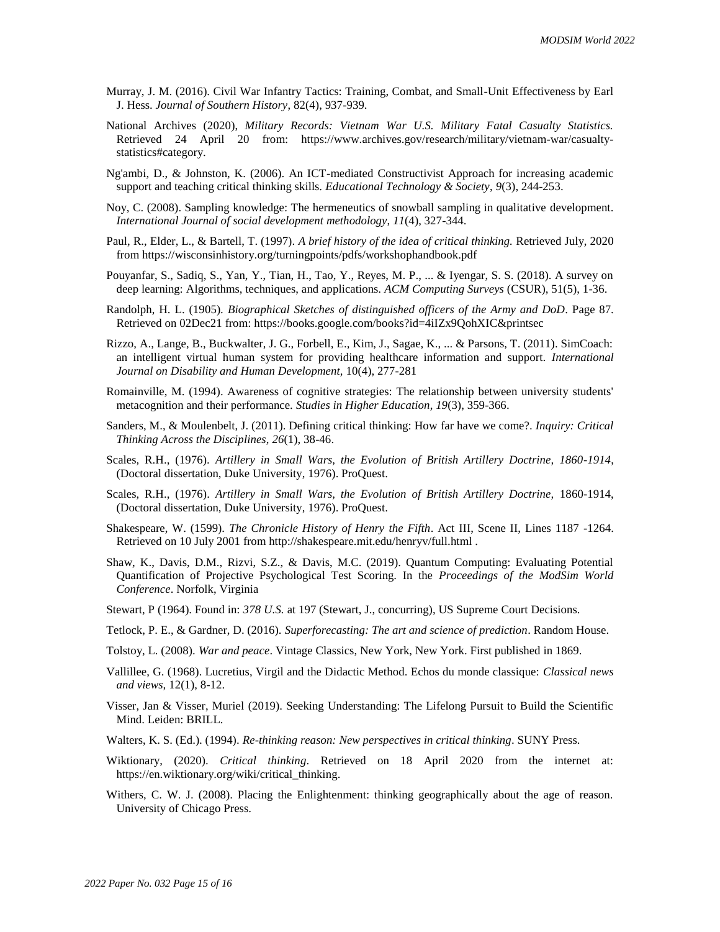- Murray, J. M. (2016). Civil War Infantry Tactics: Training, Combat, and Small-Unit Effectiveness by Earl J. Hess. *Journal of Southern History*, 82(4), 937-939.
- National Archives (2020), *Military Records: Vietnam War U.S. Military Fatal Casualty Statistics.* Retrieved 24 April 20 from: https://www.archives.gov/research/military/vietnam-war/casualtystatistics#category.
- Ng'ambi, D., & Johnston, K. (2006). An ICT-mediated Constructivist Approach for increasing academic support and teaching critical thinking skills. *Educational Technology & Society*, *9*(3), 244-253.
- Noy, C. (2008). Sampling knowledge: The hermeneutics of snowball sampling in qualitative development. *International Journal of social development methodology*, *11*(4), 327-344.
- Paul, R., Elder, L., & Bartell, T. (1997). *A brief history of the idea of critical thinking.* Retrieved July, 2020 from https://wisconsinhistory.org/turningpoints/pdfs/workshophandbook.pdf
- Pouyanfar, S., Sadiq, S., Yan, Y., Tian, H., Tao, Y., Reyes, M. P., ... & Iyengar, S. S. (2018). A survey on deep learning: Algorithms, techniques, and applications. *ACM Computing Surveys* (CSUR), 51(5), 1-36.
- Randolph, H. L. (1905). *Biographical Sketches of distinguished officers of the Army and DoD*. Page 87. Retrieved on 02Dec21 from: https://books.google.com/books?id=4iIZx9QohXIC&printsec
- Rizzo, A., Lange, B., Buckwalter, J. G., Forbell, E., Kim, J., Sagae, K., ... & Parsons, T. (2011). SimCoach: an intelligent virtual human system for providing healthcare information and support*. International Journal on Disability and Human Development,* 10(4), 277-281
- Romainville, M. (1994). Awareness of cognitive strategies: The relationship between university students' metacognition and their performance. *Studies in Higher Education*, *19*(3), 359-366.
- Sanders, M., & Moulenbelt, J. (2011). Defining critical thinking: How far have we come?. *Inquiry: Critical Thinking Across the Disciplines*, *26*(1), 38-46.
- Scales, R.H., (1976). *Artillery in Small Wars, the Evolution of British Artillery Doctrine, 1860-1914*, (Doctoral dissertation, Duke University, 1976). ProQuest.
- Scales, R.H., (1976). *Artillery in Small Wars, the Evolution of British Artillery Doctrine,* 1860-1914, (Doctoral dissertation, Duke University, 1976). ProQuest.
- Shakespeare, W. (1599). *The Chronicle History of Henry the Fifth*. Act III, Scene II, Lines 1187 -1264. Retrieved on 10 July 2001 from http://shakespeare.mit.edu/henryv/full.html .
- Shaw, K., Davis, D.M., Rizvi, S.Z., & Davis, M.C. (2019). Quantum Computing: Evaluating Potential Quantification of Projective Psychological Test Scoring. In the *Proceedings of the ModSim World Conference*. Norfolk, Virginia
- Stewart, P (1964). Found in: *378 U.S.* at 197 (Stewart, J., concurring), US Supreme Court Decisions.
- Tetlock, P. E., & Gardner, D. (2016). *Superforecasting: The art and science of prediction*. Random House.
- Tolstoy, L. (2008). *War and peace*. Vintage Classics, New York, New York. First published in 1869.
- Vallillee, G. (1968). Lucretius, Virgil and the Didactic Method. Echos du monde classique: *Classical news and views,* 12(1), 8-12.
- Visser, Jan & Visser, Muriel (2019). Seeking Understanding: The Lifelong Pursuit to Build the Scientific Mind. Leiden: BRILL.
- Walters, K. S. (Ed.). (1994). *Re-thinking reason: New perspectives in critical thinking*. SUNY Press.
- Wiktionary, (2020). *Critical thinking*. Retrieved on 18 April 2020 from the internet at: https://en.wiktionary.org/wiki/critical\_thinking.
- Withers, C. W. J. (2008). Placing the Enlightenment: thinking geographically about the age of reason. University of Chicago Press.